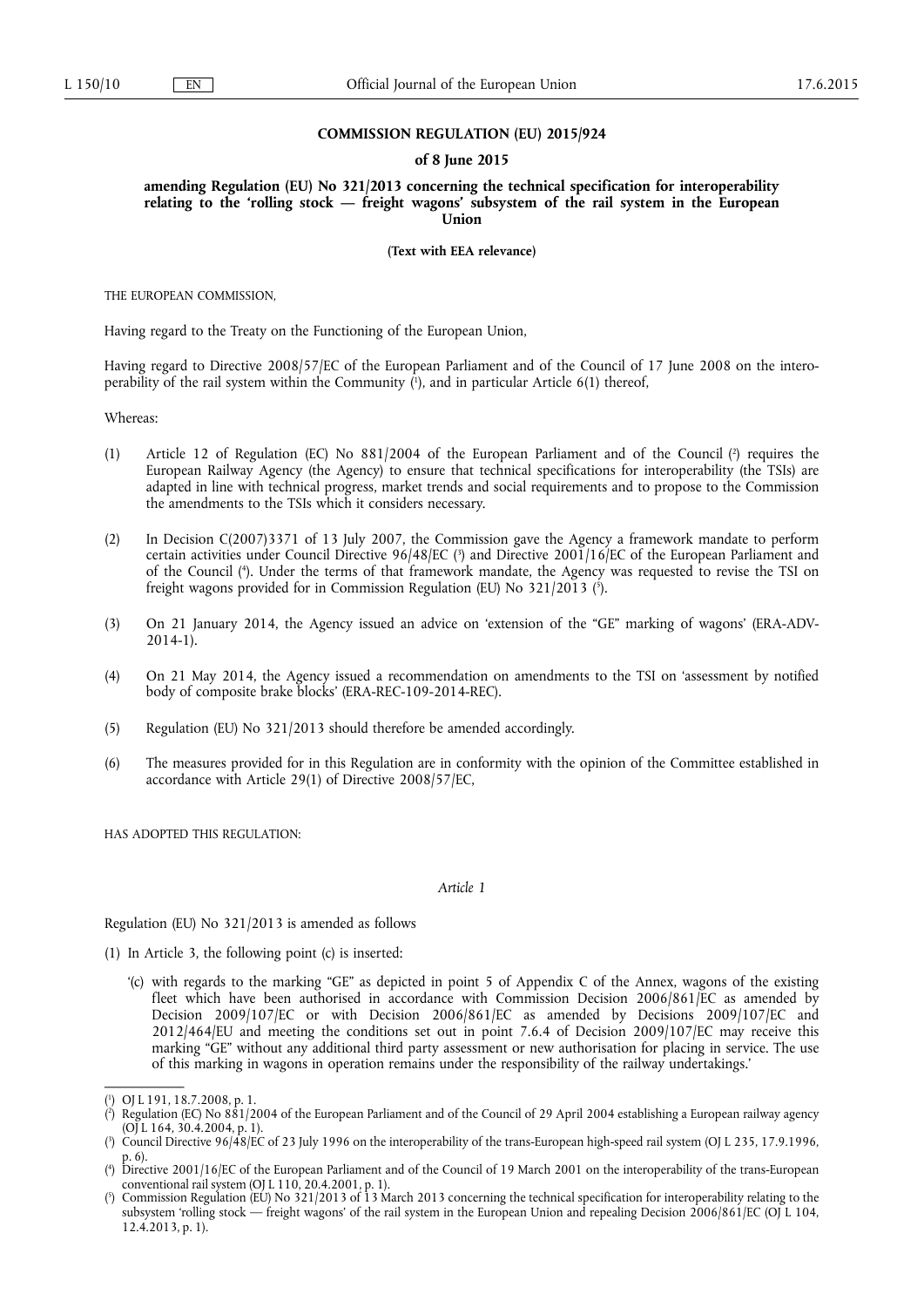#### **COMMISSION REGULATION (EU) 2015/924**

#### **of 8 June 2015**

**amending Regulation (EU) No 321/2013 concerning the technical specification for interoperability relating to the 'rolling stock — freight wagons' subsystem of the rail system in the European Union** 

**(Text with EEA relevance)** 

THE EUROPEAN COMMISSION,

Having regard to the Treaty on the Functioning of the European Union,

Having regard to Directive 2008/57/EC of the European Parliament and of the Council of 17 June 2008 on the interoperability of the rail system within the Community ( 1 ), and in particular Article 6(1) thereof,

Whereas:

- (1) Article 12 of Regulation (EC) No 881/2004 of the European Parliament and of the Council (2) requires the European Railway Agency (the Agency) to ensure that technical specifications for interoperability (the TSIs) are adapted in line with technical progress, market trends and social requirements and to propose to the Commission the amendments to the TSIs which it considers necessary.
- (2) In Decision C(2007)3371 of 13 July 2007, the Commission gave the Agency a framework mandate to perform certain activities under Council Directive 96/48/EC ( 3 ) and Directive 2001/16/EC of the European Parliament and of the Council ( 4 ). Under the terms of that framework mandate, the Agency was requested to revise the TSI on freight wagons provided for in Commission Regulation (EU) No 321/2013 ( 5 ).
- (3) On 21 January 2014, the Agency issued an advice on 'extension of the "GE" marking of wagons' (ERA-ADV-2014-1).
- (4) On 21 May 2014, the Agency issued a recommendation on amendments to the TSI on 'assessment by notified body of composite brake blocks' (ERA-REC-109-2014-REC).
- (5) Regulation (EU) No 321/2013 should therefore be amended accordingly.
- (6) The measures provided for in this Regulation are in conformity with the opinion of the Committee established in accordance with Article 29(1) of Directive 2008/57/EC,

HAS ADOPTED THIS REGULATION:

*Article 1* 

Regulation (EU) No 321/2013 is amended as follows

(1) In Article 3, the following point (c) is inserted:

'(c) with regards to the marking "GE" as depicted in point 5 of Appendix C of the Annex, wagons of the existing fleet which have been authorised in accordance with Commission Decision 2006/861/EC as amended by Decision 2009/107/EC or with Decision 2006/861/EC as amended by Decisions 2009/107/EC and 2012/464/EU and meeting the conditions set out in point 7.6.4 of Decision 2009/107/EC may receive this marking "GE" without any additional third party assessment or new authorisation for placing in service. The use of this marking in wagons in operation remains under the responsibility of the railway undertakings.'

<sup>(</sup> 1 ) OJ L 191, 18.7.2008, p. 1.

<sup>(</sup> 2 ) Regulation (EC) No 881/2004 of the European Parliament and of the Council of 29 April 2004 establishing a European railway agency (OJ L 164, 30.4.2004, p. 1).

<sup>(</sup> 3 ) Council Directive 96/48/EC of 23 July 1996 on the interoperability of the trans-European high-speed rail system (OJ L 235, 17.9.1996, p. 6).

<sup>(</sup> 4 ) Directive 2001/16/EC of the European Parliament and of the Council of 19 March 2001 on the interoperability of the trans-European conventional rail system (OJ L 110, 20.4.2001, p. 1).

<sup>(</sup> 5 Commission Regulation (EU) No 321/2013 of 13 March 2013 concerning the technical specification for interoperability relating to the subsystem 'rolling stock — freight wagons' of the rail system in the European Union and repealing Decision 2006/861/EC (OJ L 104, 12.4.2013, p. 1).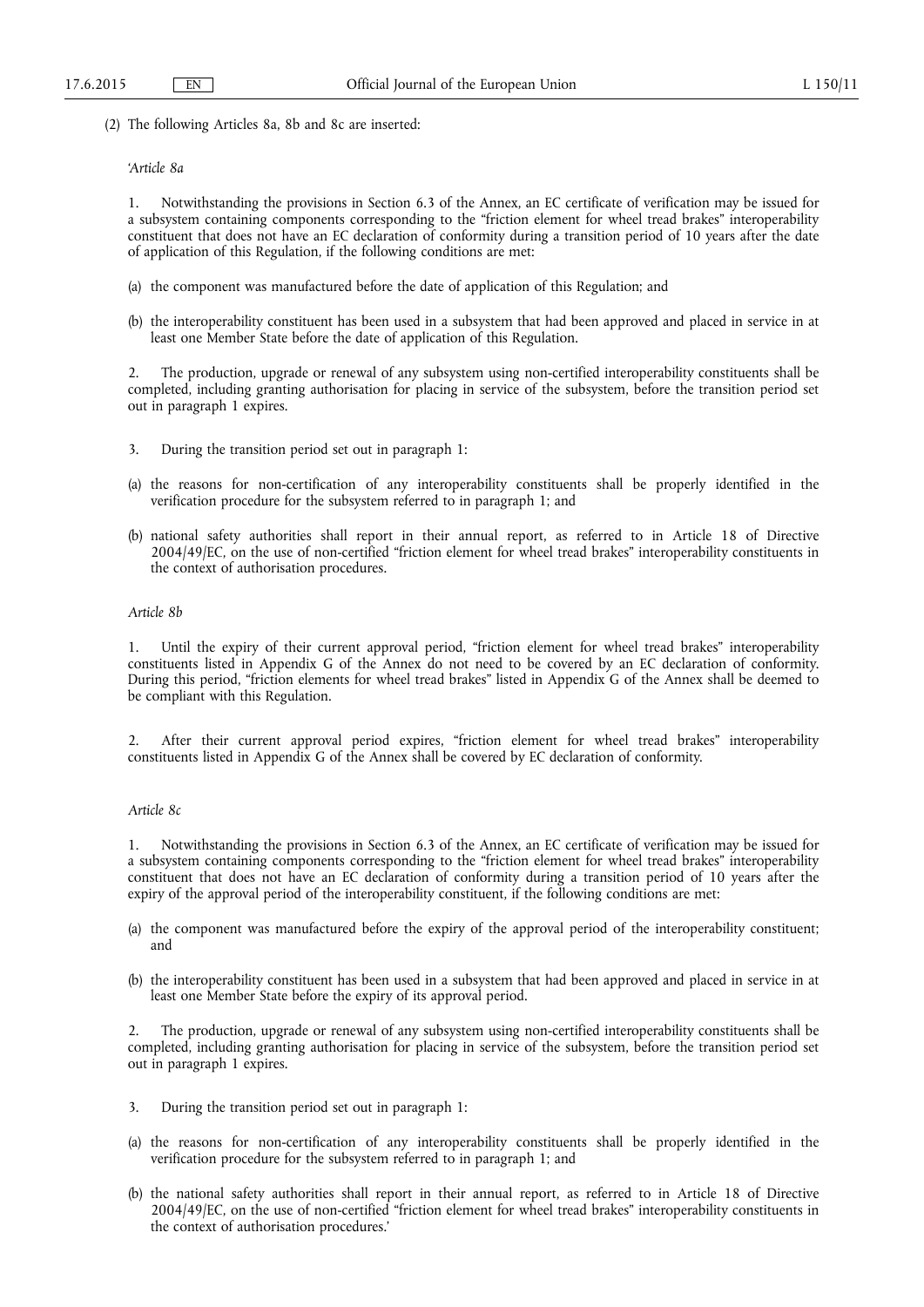(2) The following Articles 8a, 8b and 8c are inserted:

## *'Article 8a*

1. Notwithstanding the provisions in Section 6.3 of the Annex, an EC certificate of verification may be issued for a subsystem containing components corresponding to the "friction element for wheel tread brakes" interoperability constituent that does not have an EC declaration of conformity during a transition period of 10 years after the date of application of this Regulation, if the following conditions are met:

- (a) the component was manufactured before the date of application of this Regulation; and
- (b) the interoperability constituent has been used in a subsystem that had been approved and placed in service in at least one Member State before the date of application of this Regulation.

2. The production, upgrade or renewal of any subsystem using non-certified interoperability constituents shall be completed, including granting authorisation for placing in service of the subsystem, before the transition period set out in paragraph 1 expires.

- 3. During the transition period set out in paragraph 1:
- (a) the reasons for non-certification of any interoperability constituents shall be properly identified in the verification procedure for the subsystem referred to in paragraph 1; and
- (b) national safety authorities shall report in their annual report, as referred to in Article 18 of Directive 2004/49/EC, on the use of non-certified "friction element for wheel tread brakes" interoperability constituents in the context of authorisation procedures.

## *Article 8b*

1. Until the expiry of their current approval period, "friction element for wheel tread brakes" interoperability constituents listed in Appendix G of the Annex do not need to be covered by an EC declaration of conformity. During this period, "friction elements for wheel tread brakes" listed in Appendix G of the Annex shall be deemed to be compliant with this Regulation.

After their current approval period expires, "friction element for wheel tread brakes" interoperability constituents listed in Appendix G of the Annex shall be covered by EC declaration of conformity.

### *Article 8c*

1. Notwithstanding the provisions in Section 6.3 of the Annex, an EC certificate of verification may be issued for a subsystem containing components corresponding to the "friction element for wheel tread brakes" interoperability constituent that does not have an EC declaration of conformity during a transition period of 10 years after the expiry of the approval period of the interoperability constituent, if the following conditions are met:

- (a) the component was manufactured before the expiry of the approval period of the interoperability constituent; and
- (b) the interoperability constituent has been used in a subsystem that had been approved and placed in service in at least one Member State before the expiry of its approval period.

2. The production, upgrade or renewal of any subsystem using non-certified interoperability constituents shall be completed, including granting authorisation for placing in service of the subsystem, before the transition period set out in paragraph 1 expires.

- 3. During the transition period set out in paragraph 1:
- (a) the reasons for non-certification of any interoperability constituents shall be properly identified in the verification procedure for the subsystem referred to in paragraph 1; and
- (b) the national safety authorities shall report in their annual report, as referred to in Article 18 of Directive 2004/49/EC, on the use of non-certified "friction element for wheel tread brakes" interoperability constituents in the context of authorisation procedures.'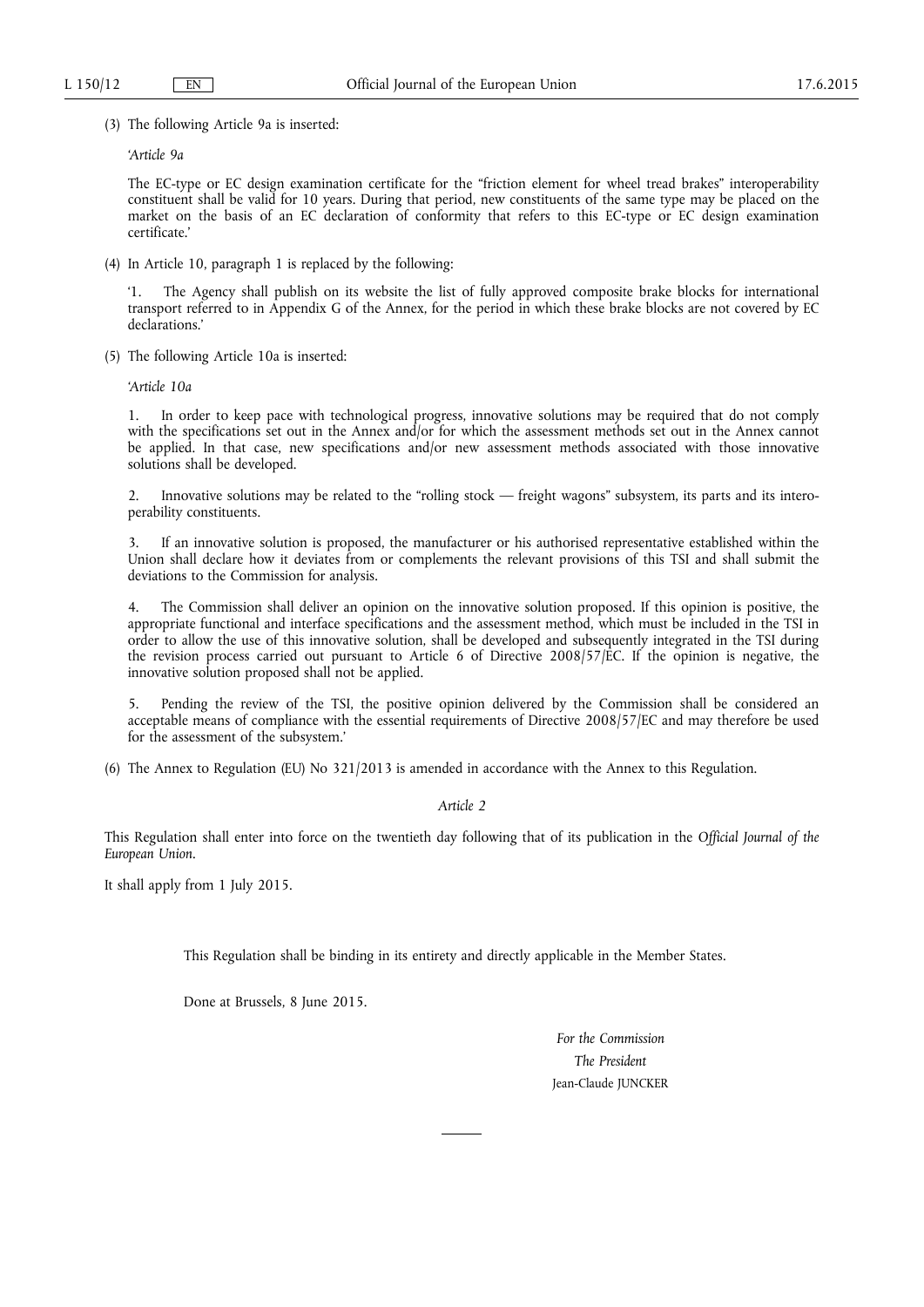(3) The following Article 9a is inserted:

*'Article 9a* 

The EC-type or EC design examination certificate for the "friction element for wheel tread brakes" interoperability constituent shall be valid for 10 years. During that period, new constituents of the same type may be placed on the market on the basis of an EC declaration of conformity that refers to this EC-type or EC design examination certificate.'

(4) In Article 10, paragraph 1 is replaced by the following:

'1. The Agency shall publish on its website the list of fully approved composite brake blocks for international transport referred to in Appendix G of the Annex, for the period in which these brake blocks are not covered by EC declarations.'

(5) The following Article 10a is inserted:

*'Article 10a* 

1. In order to keep pace with technological progress, innovative solutions may be required that do not comply with the specifications set out in the Annex and/or for which the assessment methods set out in the Annex cannot be applied. In that case, new specifications and/or new assessment methods associated with those innovative solutions shall be developed.

2. Innovative solutions may be related to the "rolling stock — freight wagons" subsystem, its parts and its interoperability constituents.

3. If an innovative solution is proposed, the manufacturer or his authorised representative established within the Union shall declare how it deviates from or complements the relevant provisions of this TSI and shall submit the deviations to the Commission for analysis.

4. The Commission shall deliver an opinion on the innovative solution proposed. If this opinion is positive, the appropriate functional and interface specifications and the assessment method, which must be included in the TSI in order to allow the use of this innovative solution, shall be developed and subsequently integrated in the TSI during the revision process carried out pursuant to Article 6 of Directive 2008/57/EC. If the opinion is negative, the innovative solution proposed shall not be applied.

5. Pending the review of the TSI, the positive opinion delivered by the Commission shall be considered an acceptable means of compliance with the essential requirements of Directive 2008/57/EC and may therefore be used for the assessment of the subsystem.'

(6) The Annex to Regulation (EU) No 321/2013 is amended in accordance with the Annex to this Regulation.

*Article 2* 

This Regulation shall enter into force on the twentieth day following that of its publication in the *Official Journal of the European Union*.

It shall apply from 1 July 2015.

This Regulation shall be binding in its entirety and directly applicable in the Member States.

Done at Brussels, 8 June 2015.

*For the Commission The President*  Jean-Claude JUNCKER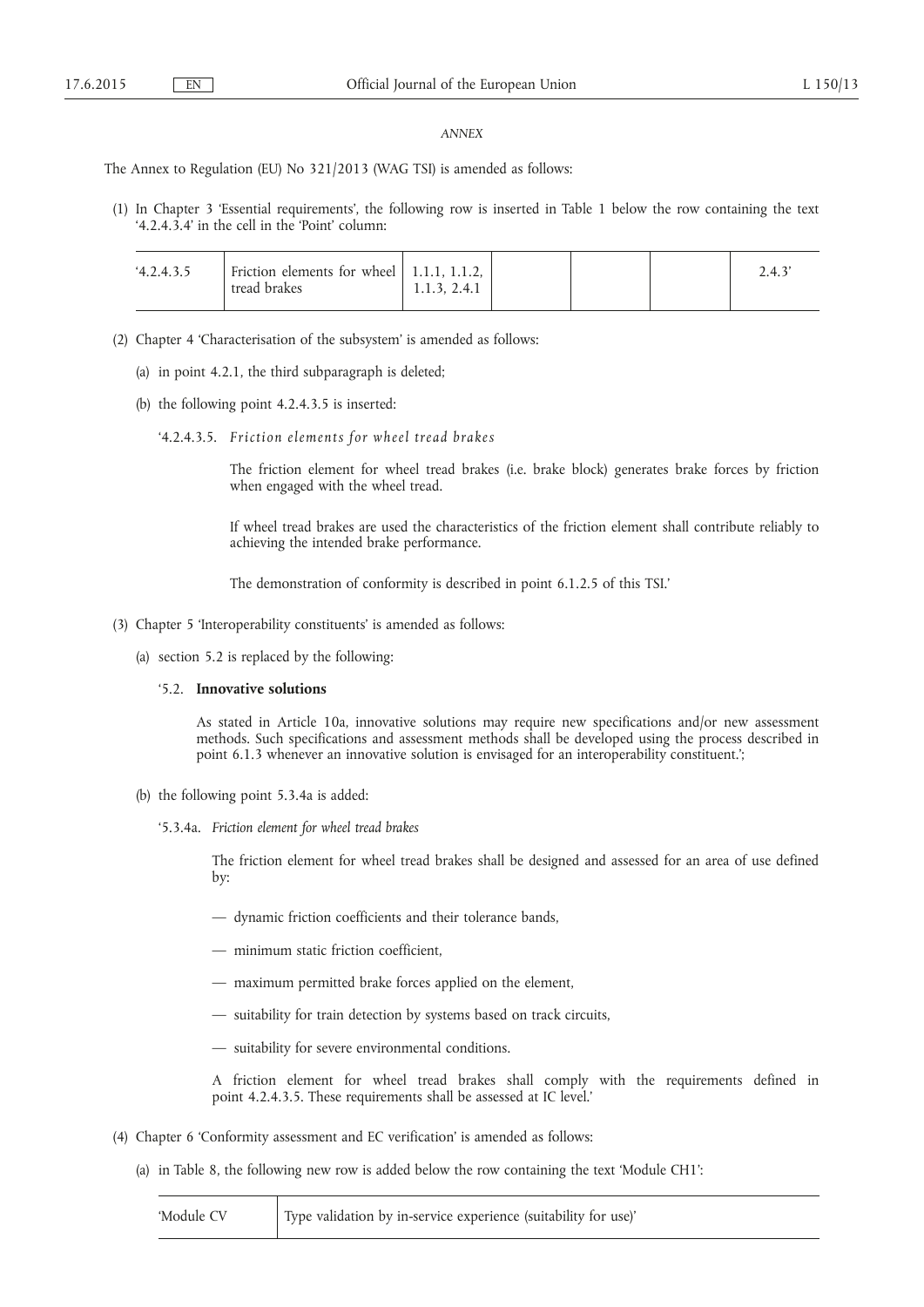#### *ANNEX*

The Annex to Regulation (EU) No 321/2013 (WAG TSI) is amended as follows:

(1) In Chapter 3 'Essential requirements', the following row is inserted in Table 1 below the row containing the text '4.2.4.3.4' in the cell in the 'Point' column:

| 4.2.4.3.5 | Friction elements for wheel $\vert$ 1.1.1, 1.1.2, $\vert$<br>tread brakes | 1.1.3, 2.4.1 |  | 2.4.3 |
|-----------|---------------------------------------------------------------------------|--------------|--|-------|
|           |                                                                           |              |  |       |

- (2) Chapter 4 'Characterisation of the subsystem' is amended as follows:
	- (a) in point 4.2.1, the third subparagraph is deleted;
	- (b) the following point 4.2.4.3.5 is inserted:
		- '4.2.4.3.5. *F riction elements for wheel tread b rakes*

The friction element for wheel tread brakes (i.e. brake block) generates brake forces by friction when engaged with the wheel tread.

If wheel tread brakes are used the characteristics of the friction element shall contribute reliably to achieving the intended brake performance.

The demonstration of conformity is described in point 6.1.2.5 of this TSI.'

- (3) Chapter 5 'Interoperability constituents' is amended as follows:
	- (a) section 5.2 is replaced by the following:

# '5.2. **Innovative solutions**

As stated in Article 10a, innovative solutions may require new specifications and/or new assessment methods. Such specifications and assessment methods shall be developed using the process described in point 6.1.3 whenever an innovative solution is envisaged for an interoperability constituent.';

- (b) the following point 5.3.4a is added:
	- '5.3.4a. *Friction element for wheel tread brakes*

The friction element for wheel tread brakes shall be designed and assessed for an area of use defined by:

- dynamic friction coefficients and their tolerance bands,
- minimum static friction coefficient,
- maximum permitted brake forces applied on the element,
- suitability for train detection by systems based on track circuits,
- suitability for severe environmental conditions.

A friction element for wheel tread brakes shall comply with the requirements defined in point 4.2.4.3.5. These requirements shall be assessed at IC level.'

- (4) Chapter 6 'Conformity assessment and EC verification' is amended as follows:
	- (a) in Table 8, the following new row is added below the row containing the text 'Module CH1':

| 'Module CV | Type validation by in-service experience (suitability for use)' |  |
|------------|-----------------------------------------------------------------|--|
|------------|-----------------------------------------------------------------|--|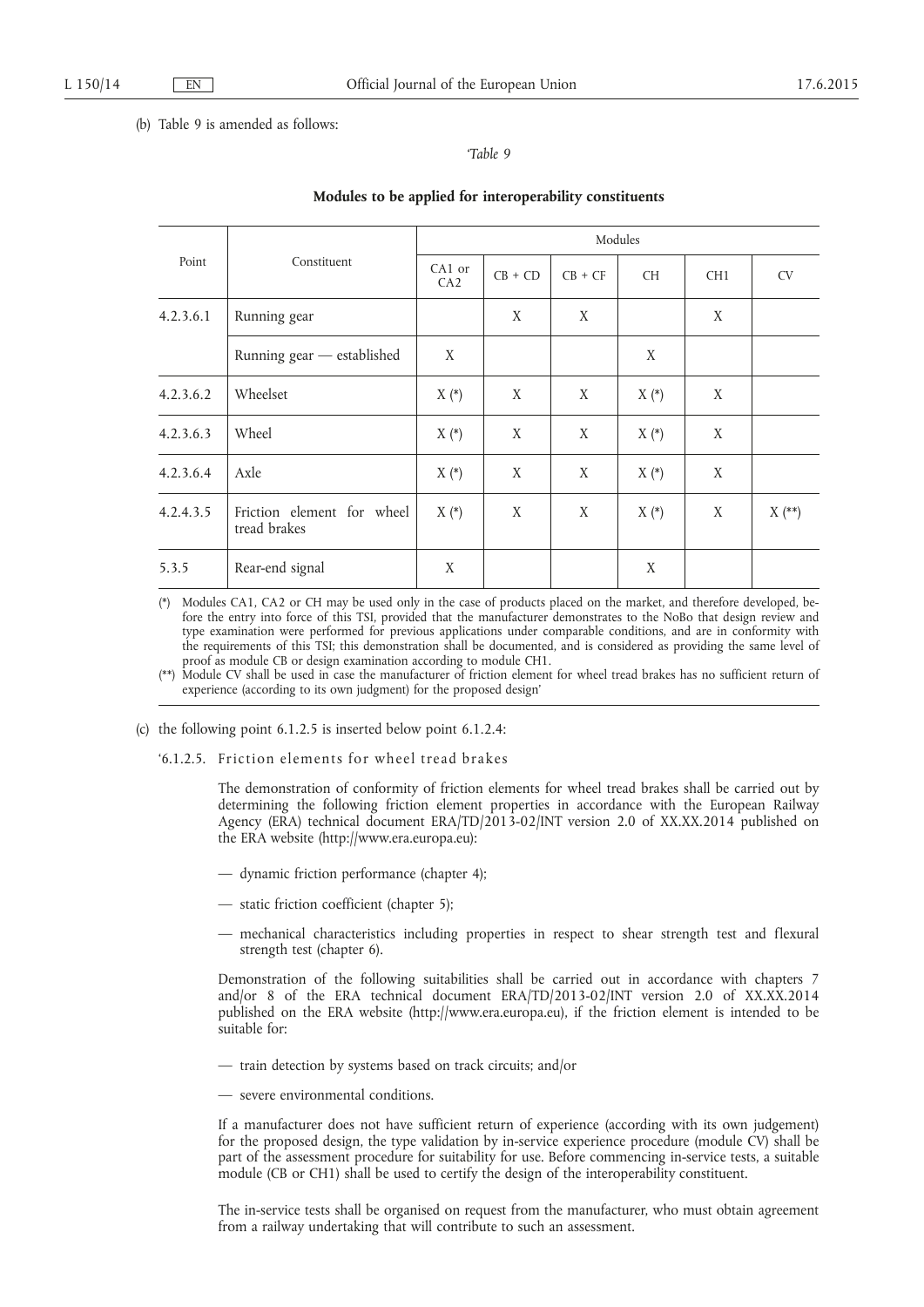### (b) Table 9 is amended as follows:

# *'Table 9*

| Point     | Constituent                                | Modules       |           |           |           |                 |           |  |
|-----------|--------------------------------------------|---------------|-----------|-----------|-----------|-----------------|-----------|--|
|           |                                            | CA1 or<br>CA2 | $CB + CD$ | $CB + CF$ | <b>CH</b> | CH <sub>1</sub> | <b>CV</b> |  |
| 4.2.3.6.1 | Running gear                               |               | X         | X         |           | X               |           |  |
|           | Running gear - established                 | X             |           |           | X         |                 |           |  |
| 4.2.3.6.2 | Wheelset                                   | $X(*)$        | X         | X         | $X(*)$    | X               |           |  |
| 4.2.3.6.3 | Wheel                                      | $X(*)$        | X         | X         | $X(*)$    | X               |           |  |
| 4.2.3.6.4 | Axle                                       | $X(*)$        | X         | X         | $X(*)$    | X               |           |  |
| 4.2.4.3.5 | Friction element for wheel<br>tread brakes | $X(*)$        | X         | X         | $X(*)$    | X               | $X$ (**)  |  |
| 5.3.5     | Rear-end signal                            | X             |           |           | X         |                 |           |  |

# **Modules to be applied for interoperability constituents**

(\*) Modules CA1, CA2 or CH may be used only in the case of products placed on the market, and therefore developed, before the entry into force of this TSI, provided that the manufacturer demonstrates to the NoBo that design review and type examination were performed for previous applications under comparable conditions, and are in conformity with the requirements of this TSI; this demonstration shall be documented, and is considered as providing the same level of proof as module CB or design examination according to module CH1.

(\*\*) Module CV shall be used in case the manufacturer of friction element for wheel tread brakes has no sufficient return of experience (according to its own judgment) for the proposed design'

(c) the following point 6.1.2.5 is inserted below point 6.1.2.4:

'6.1.2.5. Friction elements for wheel tread brakes

The demonstration of conformity of friction elements for wheel tread brakes shall be carried out by determining the following friction element properties in accordance with the European Railway Agency (ERA) technical document ERA/TD/2013-02/INT version 2.0 of XX.XX.2014 published on the ERA website (<http://www.era.europa.eu>):

- dynamic friction performance (chapter 4);
- static friction coefficient (chapter 5);
- mechanical characteristics including properties in respect to shear strength test and flexural strength test (chapter 6).

Demonstration of the following suitabilities shall be carried out in accordance with chapters 7 and/or 8 of the ERA technical document ERA/TD/2013-02/INT version 2.0 of XX.XX.2014 published on the ERA website [\(http://www.era.europa.eu](http://www.era.europa.eu)), if the friction element is intended to be suitable for:

- train detection by systems based on track circuits; and/or
- severe environmental conditions.

If a manufacturer does not have sufficient return of experience (according with its own judgement) for the proposed design, the type validation by in-service experience procedure (module CV) shall be part of the assessment procedure for suitability for use. Before commencing in-service tests, a suitable module (CB or CH1) shall be used to certify the design of the interoperability constituent.

The in-service tests shall be organised on request from the manufacturer, who must obtain agreement from a railway undertaking that will contribute to such an assessment.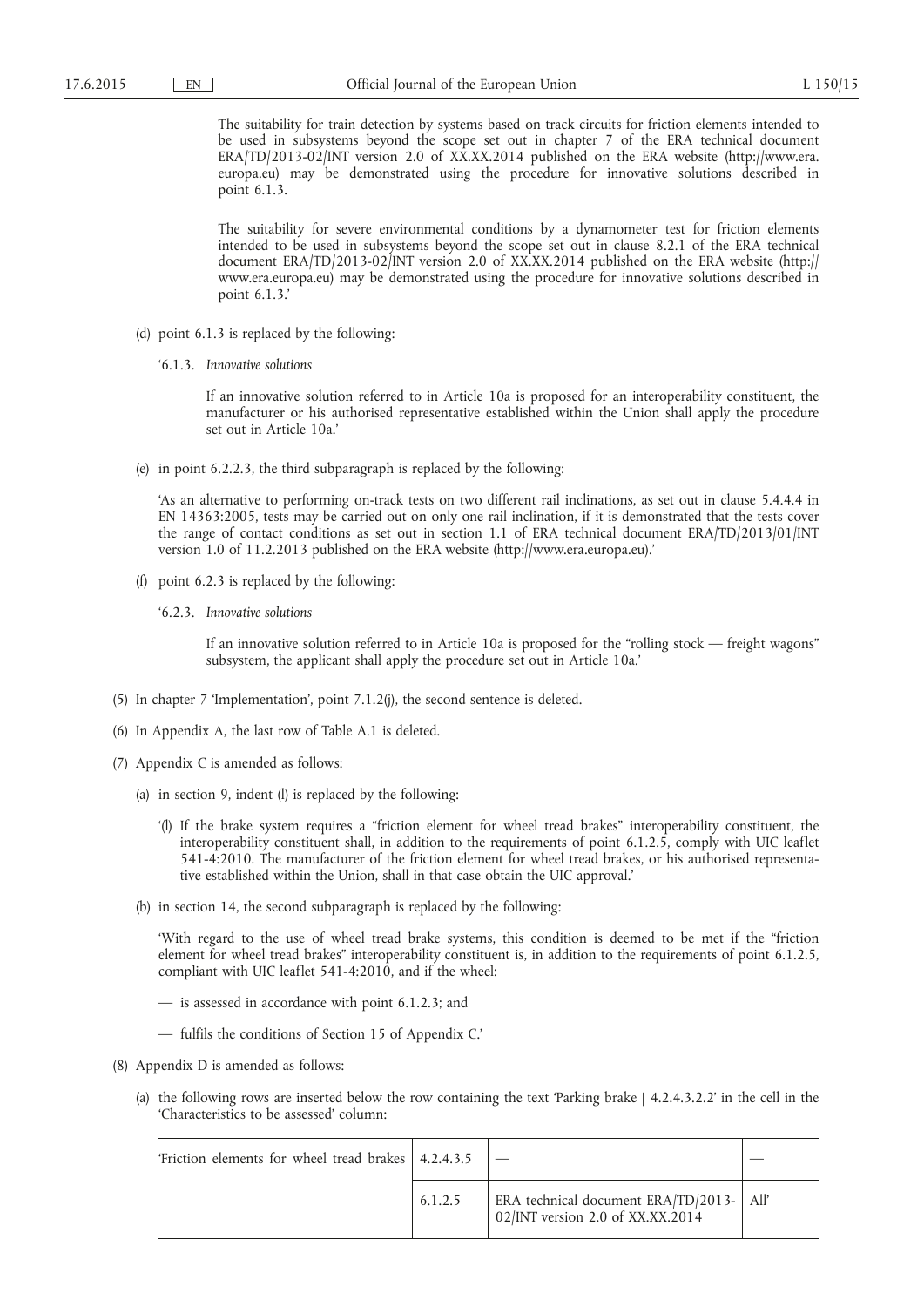The suitability for train detection by systems based on track circuits for friction elements intended to be used in subsystems beyond the scope set out in chapter 7 of the ERA technical document ERA/TD/2013-02/INT version 2.0 of XX.XX.2014 published on the ERA website ([http://www.era.](http://www.era.europa.eu)  [europa.eu\)](http://www.era.europa.eu) may be demonstrated using the procedure for innovative solutions described in point 6.1.3.

The suitability for severe environmental conditions by a dynamometer test for friction elements intended to be used in subsystems beyond the scope set out in clause 8.2.1 of the ERA technical document ERA/TD/2013-02/INT version 2.0 of XX.XX.2014 published on the ERA website ([http://](http://www.era.europa.eu)  [www.era.europa.eu\)](http://www.era.europa.eu) may be demonstrated using the procedure for innovative solutions described in point 6.1.3.'

- (d) point 6.1.3 is replaced by the following:
	- '6.1.3. *Innovative solutions*

If an innovative solution referred to in Article 10a is proposed for an interoperability constituent, the manufacturer or his authorised representative established within the Union shall apply the procedure set out in Article 10a.'

(e) in point 6.2.2.3, the third subparagraph is replaced by the following:

'As an alternative to performing on-track tests on two different rail inclinations, as set out in clause 5.4.4.4 in EN 14363:2005, tests may be carried out on only one rail inclination, if it is demonstrated that the tests cover the range of contact conditions as set out in section 1.1 of ERA technical document ERA/TD/2013/01/INT version 1.0 of 11.2.2013 published on the ERA website [\(http://www.era.europa.eu\)](http://www.era.europa.eu).'

- (f) point 6.2.3 is replaced by the following:
	- '6.2.3. *Innovative solutions*

If an innovative solution referred to in Article 10a is proposed for the "rolling stock — freight wagons" subsystem, the applicant shall apply the procedure set out in Article 10a.'

- (5) In chapter 7 'Implementation', point 7.1.2(j), the second sentence is deleted.
- (6) In Appendix A, the last row of Table A.1 is deleted.
- (7) Appendix C is amended as follows:
	- (a) in section 9, indent (l) is replaced by the following:
		- '(l) If the brake system requires a "friction element for wheel tread brakes" interoperability constituent, the interoperability constituent shall, in addition to the requirements of point 6.1.2.5, comply with UIC leaflet 541-4:2010. The manufacturer of the friction element for wheel tread brakes, or his authorised representative established within the Union, shall in that case obtain the UIC approval.'
	- (b) in section 14, the second subparagraph is replaced by the following:

'With regard to the use of wheel tread brake systems, this condition is deemed to be met if the "friction element for wheel tread brakes" interoperability constituent is, in addition to the requirements of point 6.1.2.5, compliant with UIC leaflet 541-4:2010, and if the wheel:

- is assessed in accordance with point 6.1.2.3; and
- fulfils the conditions of Section 15 of Appendix C.'
- (8) Appendix D is amended as follows:
	- (a) the following rows are inserted below the row containing the text 'Parking brake | 4.2.4.3.2.2' in the cell in the 'Characteristics to be assessed' column:

| 'Friction elements for wheel tread brakes   4.2.4.3.5 |         |                                                                                |  |
|-------------------------------------------------------|---------|--------------------------------------------------------------------------------|--|
|                                                       | 6.1.2.5 | ERA technical document ERA/TD/2013-   All'<br>02/INT version 2.0 of XX.XX.2014 |  |